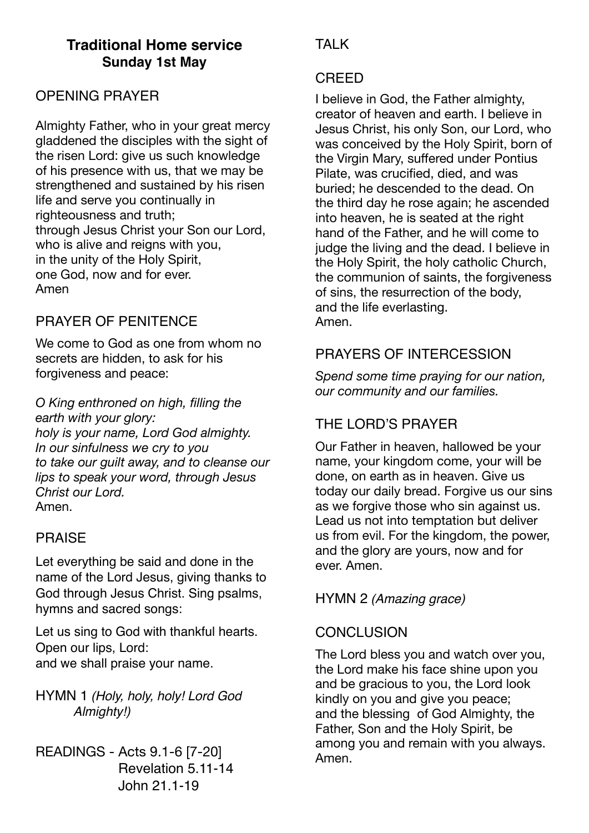# **Traditional Home service Sunday 1st May**

## OPENING PRAYER

Almighty Father, who in your great mercy gladdened the disciples with the sight of the risen Lord: give us such knowledge of his presence with us, that we may be strengthened and sustained by his risen life and serve you continually in righteousness and truth; through Jesus Christ your Son our Lord, who is alive and reigns with you, in the unity of the Holy Spirit, one God, now and for ever. Amen

## PRAYER OF PENITENCE

We come to God as one from whom no secrets are hidden, to ask for his forgiveness and peace:

*O King enthroned on high, filling the earth with your glory: holy is your name, Lord God almighty. In our sinfulness we cry to you to take our guilt away, and to cleanse our lips to speak your word, through Jesus Christ our Lord.*  Amen.

### PRAISE

Let everything be said and done in the name of the Lord Jesus, giving thanks to God through Jesus Christ. Sing psalms, hymns and sacred songs:

Let us sing to God with thankful hearts. Open our lips, Lord: and we shall praise your name.

HYMN 1 *(Holy, holy, holy! Lord God Almighty!)*

READINGS - Acts 9.1-6 [7-20] Revelation 5.11-14 John 21.1-19

# **TAI K**

#### CREED

I believe in God, the Father almighty, creator of heaven and earth. I believe in Jesus Christ, his only Son, our Lord, who was conceived by the Holy Spirit, born of the Virgin Mary, suffered under Pontius Pilate, was crucified, died, and was buried; he descended to the dead. On the third day he rose again; he ascended into heaven, he is seated at the right hand of the Father, and he will come to judge the living and the dead. I believe in the Holy Spirit, the holy catholic Church, the communion of saints, the forgiveness of sins, the resurrection of the body, and the life everlasting. Amen.

## PRAYERS OF INTERCESSION

*Spend some time praying for our nation, our community and our families.* 

# THE LORD'S PRAYER

Our Father in heaven, hallowed be your name, your kingdom come, your will be done, on earth as in heaven. Give us today our daily bread. Forgive us our sins as we forgive those who sin against us. Lead us not into temptation but deliver us from evil. For the kingdom, the power, and the glory are yours, now and for ever. Amen.

HYMN 2 *(Amazing grace)*

### **CONCLUSION**

The Lord bless you and watch over you, the Lord make his face shine upon you and be gracious to you, the Lord look kindly on you and give you peace; and the blessing of God Almighty, the Father, Son and the Holy Spirit, be among you and remain with you always. Amen.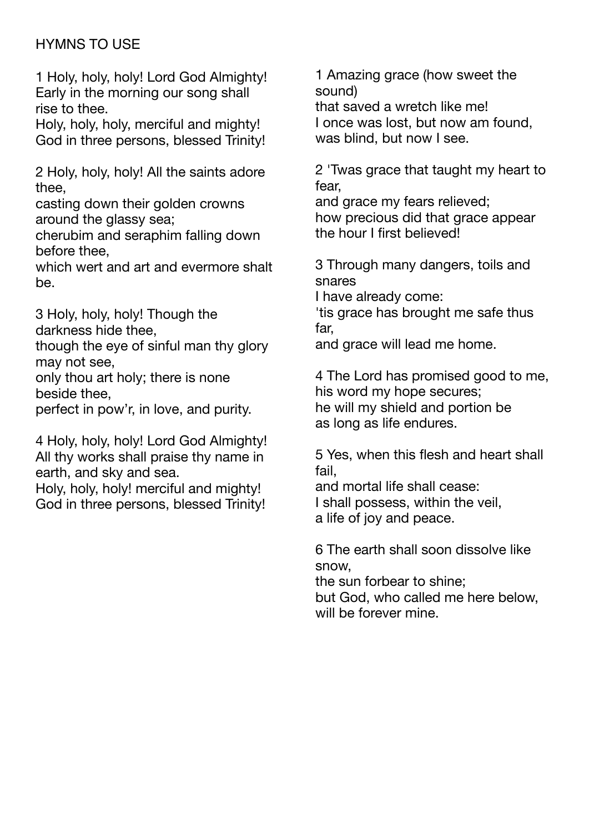# HYMNS TO USE

1 Holy, holy, holy! Lord God Almighty! Early in the morning our song shall rise to thee.

Holy, holy, holy, merciful and mighty! God in three persons, blessed Trinity!

2 Holy, holy, holy! All the saints adore thee,

casting down their golden crowns around the glassy sea;

cherubim and seraphim falling down before thee,

which wert and art and evermore shalt be.

3 Holy, holy, holy! Though the darkness hide thee,

though the eye of sinful man thy glory may not see,

only thou art holy; there is none beside thee,

perfect in pow'r, in love, and purity.

4 Holy, holy, holy! Lord God Almighty! All thy works shall praise thy name in earth, and sky and sea.

Holy, holy, holy! merciful and mighty! God in three persons, blessed Trinity!

1 Amazing grace (how sweet the sound)

that saved a wretch like me! I once was lost, but now am found, was blind, but now I see.

2 'Twas grace that taught my heart to fear,

and grace my fears relieved; how precious did that grace appear the hour I first believed!

3 Through many dangers, toils and snares

I have already come: 'tis grace has brought me safe thus far,

and grace will lead me home.

4 The Lord has promised good to me, his word my hope secures; he will my shield and portion be as long as life endures.

5 Yes, when this flesh and heart shall fail,

and mortal life shall cease: I shall possess, within the veil, a life of joy and peace.

6 The earth shall soon dissolve like snow,

the sun forbear to shine; but God, who called me here below, will be forever mine.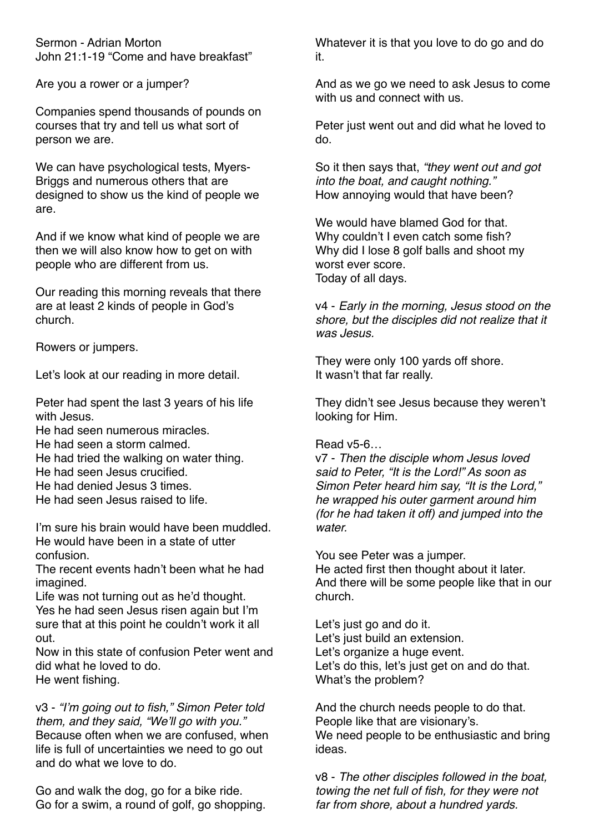Sermon - Adrian Morton John 21:1-19 "Come and have breakfast"

Are you a rower or a jumper?

Companies spend thousands of pounds on courses that try and tell us what sort of person we are.

We can have psychological tests, Myers-Briggs and numerous others that are designed to show us the kind of people we are.

And if we know what kind of people we are then we will also know how to get on with people who are different from us.

Our reading this morning reveals that there are at least 2 kinds of people in God's church.

Rowers or jumpers.

Let's look at our reading in more detail.

Peter had spent the last 3 years of his life with Jesus.

- He had seen numerous miracles.
- He had seen a storm calmed.
- He had tried the walking on water thing.
- He had seen Jesus crucified.
- He had denied Jesus 3 times.
- He had seen Jesus raised to life.

I'm sure his brain would have been muddled. He would have been in a state of utter confusion.

The recent events hadn't been what he had imagined.

Life was not turning out as he'd thought. Yes he had seen Jesus risen again but I'm sure that at this point he couldn't work it all out.

Now in this state of confusion Peter went and did what he loved to do. He went fishing.

v3 - *"I'm going out to fish," Simon Peter told them, and they said, "We'll go with you."* Because often when we are confused, when life is full of uncertainties we need to go out and do what we love to do.

Go and walk the dog, go for a bike ride. Go for a swim, a round of golf, go shopping. Whatever it is that you love to do go and do it.

And as we go we need to ask Jesus to come with us and connect with us.

Peter just went out and did what he loved to do.

So it then says that, *"they went out and got into the boat, and caught nothing."* How annoying would that have been?

We would have blamed God for that. Why couldn't I even catch some fish? Why did I lose 8 golf balls and shoot my worst ever score. Today of all days.

v4 - *Early in the morning, Jesus stood on the shore, but the disciples did not realize that it was Jesus.*

They were only 100 yards off shore. It wasn't that far really.

They didn't see Jesus because they weren't looking for Him.

#### Read v5-6…

v7 - *Then the disciple whom Jesus loved said to Peter, "It is the Lord!" As soon as Simon Peter heard him say, "It is the Lord," he wrapped his outer garment around him (for he had taken it off) and jumped into the water.*

You see Peter was a jumper. He acted first then thought about it later. And there will be some people like that in our church.

Let's just go and do it. Let's just build an extension. Let's organize a huge event. Let's do this, let's just get on and do that. What's the problem?

And the church needs people to do that. People like that are visionary's. We need people to be enthusiastic and bring ideas.

v8 - *The other disciples followed in the boat, towing the net full of fish, for they were not far from shore, about a hundred yards.*